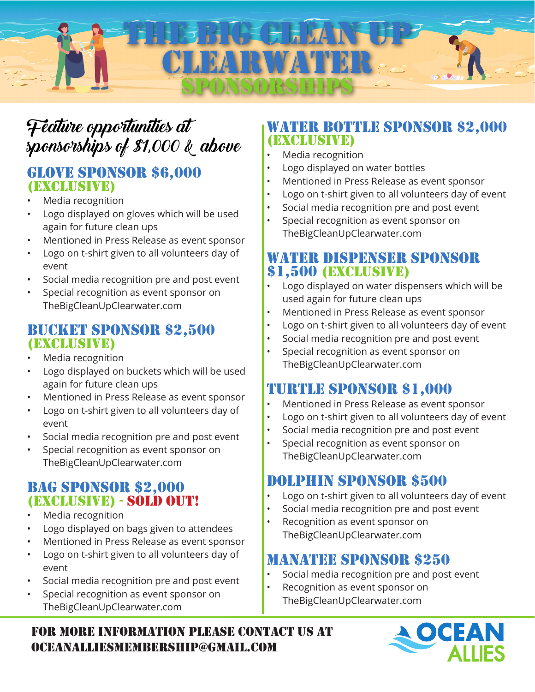# THE BIG CLEAN WHP CLEARWATER SPONSORSHIPS

# Feature opportunities at sponsorships of \$1,000 & above

#### GLOVE SPONSOR \$6,000 (exclusive)

- Media recognition
- Logo displayed on gloves which will be used again for future clean ups
- Mentioned in Press Release as event sponsor
- Logo on t-shirt given to all volunteers day of event
- Social media recognition pre and post event
- Special recognition as event sponsor on TheBigCleanUpClearwater.com

#### BUCKET SPONSOR \$2,500 (exclusive)

- Media recognition
- Logo displayed on buckets which will be used again for future clean ups
- Mentioned in Press Release as event sponsor
- Logo on t-shirt given to all volunteers day of event
- Social media recognition pre and post event
- Special recognition as event sponsor on TheBigCleanUpClearwater.com

### BAG SPONSOR \$2,000 (exclusive) - SOLD OUT!

- Media recognition
- Logo displayed on bags given to attendees
- Mentioned in Press Release as event sponsor
- Logo on t-shirt given to all volunteers day of event
- Social media recognition pre and post event
- Special recognition as event sponsor on TheBigCleanUpClearwater.com

### WATER BOTTLE SPONSOR \$2,000 (exclusive)

- Media recognition
- Logo displayed on water bottles
- Mentioned in Press Release as event sponsor
- Logo on t-shirt given to all volunteers day of event
- Social media recognition pre and post event
- Special recognition as event sponsor on TheBigCleanUpClearwater.com

### WATER DISPENSER SPONSOR \$1,500 (exclusive)

- Logo displayed on water dispensers which will be used again for future clean ups
- Mentioned in Press Release as event sponsor
- Logo on t-shirt given to all volunteers day of event
- Social media recognition pre and post event
- Special recognition as event sponsor on TheBigCleanUpClearwater.com

## TURTLE SPONSOR \$1,000

- Mentioned in Press Release as event sponsor
- Logo on t-shirt given to all volunteers day of event
- Social media recognition pre and post event
- Special recognition as event sponsor on TheBigCleanUpClearwater.com

## DOLPHIN SPONSOR \$500

- Logo on t-shirt given to all volunteers day of event
- Social media recognition pre and post event
- Recognition as event sponsor on TheBigCleanUpClearwater.com

## MANATEE SPONSOR \$250

- Social media recognition pre and post event
- Recognition as event sponsor on TheBigCleanUpClearwater.com

FOR MORE INFORMATION PLEASE CONTACT us AT oceanalliesmembership@gmail.COM